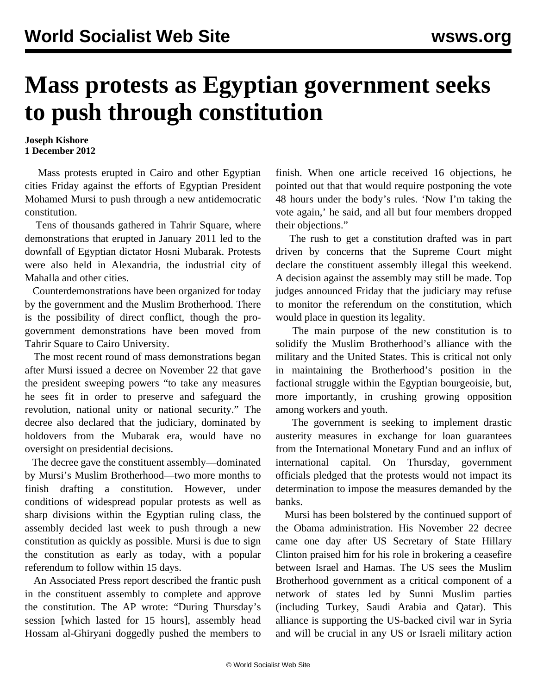## **Mass protests as Egyptian government seeks to push through constitution**

**Joseph Kishore 1 December 2012**

 Mass protests erupted in Cairo and other Egyptian cities Friday against the efforts of Egyptian President Mohamed Mursi to push through a new antidemocratic constitution.

 Tens of thousands gathered in Tahrir Square, where demonstrations that erupted in January 2011 led to the downfall of Egyptian dictator Hosni Mubarak. Protests were also held in Alexandria, the industrial city of Mahalla and other cities.

 Counterdemonstrations have been organized for today by the government and the Muslim Brotherhood. There is the possibility of direct conflict, though the progovernment demonstrations have been moved from Tahrir Square to Cairo University.

 The most recent round of mass demonstrations began after Mursi issued a decree on November 22 that gave the president sweeping powers "to take any measures he sees fit in order to preserve and safeguard the revolution, national unity or national security." The decree also declared that the judiciary, dominated by holdovers from the Mubarak era, would have no oversight on presidential decisions.

 The decree gave the constituent assembly—dominated by Mursi's Muslim Brotherhood—two more months to finish drafting a constitution. However, under conditions of widespread popular protests as well as sharp divisions within the Egyptian ruling class, the assembly decided last week to push through a new constitution as quickly as possible. Mursi is due to sign the constitution as early as today, with a popular referendum to follow within 15 days.

 An Associated Press report described the frantic push in the constituent assembly to complete and approve the constitution. The AP wrote: "During Thursday's session [which lasted for 15 hours], assembly head Hossam al-Ghiryani doggedly pushed the members to finish. When one article received 16 objections, he pointed out that that would require postponing the vote 48 hours under the body's rules. 'Now I'm taking the vote again,' he said, and all but four members dropped their objections."

 The rush to get a constitution drafted was in part driven by concerns that the Supreme Court might declare the constituent assembly illegal this weekend. A decision against the assembly may still be made. Top judges announced Friday that the judiciary may refuse to monitor the referendum on the constitution, which would place in question its legality.

 The main purpose of the new constitution is to solidify the Muslim Brotherhood's alliance with the military and the United States. This is critical not only in maintaining the Brotherhood's position in the factional struggle within the Egyptian bourgeoisie, but, more importantly, in crushing growing opposition among workers and youth.

 The government is seeking to implement drastic austerity measures in exchange for loan guarantees from the International Monetary Fund and an influx of international capital. On Thursday, government officials pledged that the protests would not impact its determination to impose the measures demanded by the banks.

 Mursi has been bolstered by the continued support of the Obama administration. His November 22 decree came one day after US Secretary of State Hillary Clinton praised him for his role in brokering a ceasefire between Israel and Hamas. The US sees the Muslim Brotherhood government as a critical component of a network of states led by Sunni Muslim parties (including Turkey, Saudi Arabia and Qatar). This alliance is supporting the US-backed civil war in Syria and will be crucial in any US or Israeli military action